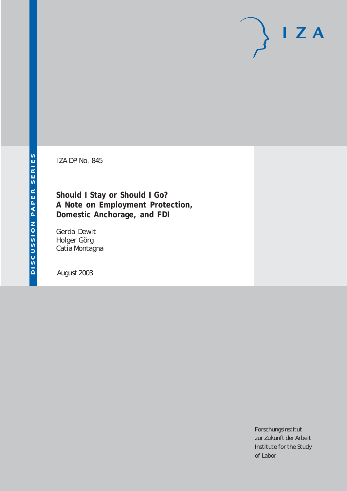# $I Z A$

IZA DP No. 845

**Should I Stay or Should I Go? A Note on Employment Protection, Domestic Anchorage, and FDI**

Gerda Dewit Holger Görg Catia Montagna

August 2003

Forschungsinstitut zur Zukunft der Arbeit Institute for the Study of Labor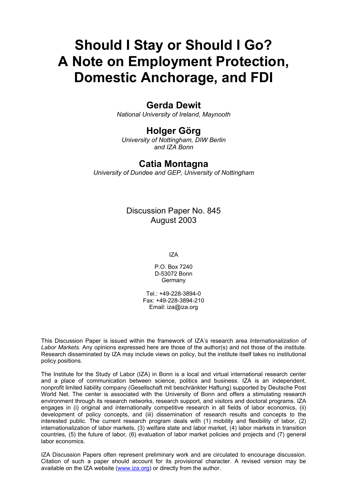# **Should I Stay or Should I Go? A Note on Employment Protection, Domestic Anchorage, and FDI**

### **Gerda Dewit**

*National University of Ireland, Maynooth* 

## **Holger Görg**

*University of Nottingham, DIW Berlin and IZA Bonn* 

#### **Catia Montagna**

*University of Dundee and GEP, University of Nottingham* 

Discussion Paper No. 845 August 2003

IZA

P.O. Box 7240 D-53072 Bonn **Germany** 

Tel.: +49-228-3894-0 Fax: +49-228-3894-210 Email: [iza@iza.org](mailto:iza@iza.org)

This Discussion Paper is issued within the framework of IZA's research area *Internationalization of Labor Markets.* Any opinions expressed here are those of the author(s) and not those of the institute. Research disseminated by IZA may include views on policy, but the institute itself takes no institutional policy positions.

The Institute for the Study of Labor (IZA) in Bonn is a local and virtual international research center and a place of communication between science, politics and business. IZA is an independent, nonprofit limited liability company (Gesellschaft mit beschränkter Haftung) supported by Deutsche Post World Net. The center is associated with the University of Bonn and offers a stimulating research environment through its research networks, research support, and visitors and doctoral programs. IZA engages in (i) original and internationally competitive research in all fields of labor economics, (ii) development of policy concepts, and (iii) dissemination of research results and concepts to the interested public. The current research program deals with (1) mobility and flexibility of labor, (2) internationalization of labor markets, (3) welfare state and labor market, (4) labor markets in transition countries, (5) the future of labor, (6) evaluation of labor market policies and projects and (7) general labor economics.

IZA Discussion Papers often represent preliminary work and are circulated to encourage discussion. Citation of such a paper should account for its provisional character. A revised version may be available on the IZA website ([www.iza.org](http://www.iza.org/)) or directly from the author.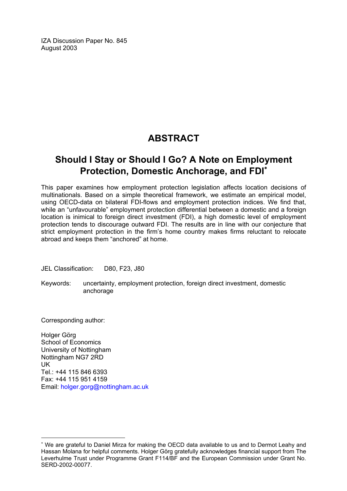IZA Discussion Paper No. 845 August 2003

# **ABSTRACT**

## **Should I Stay or Should I Go? A Note on Employment Protection, Domestic Anchorage, and FDI**[∗](#page-2-0)

This paper examines how employment protection legislation affects location decisions of multinationals. Based on a simple theoretical framework, we estimate an empirical model, using OECD-data on bilateral FDI-flows and employment protection indices. We find that, while an "unfavourable" employment protection differential between a domestic and a foreign location is inimical to foreign direct investment (FDI), a high domestic level of employment protection tends to discourage outward FDI. The results are in line with our conjecture that strict employment protection in the firm's home country makes firms reluctant to relocate abroad and keeps them "anchored" at home.

JEL Classification: D80, F23, J80

Keywords: uncertainty, employment protection, foreign direct investment, domestic anchorage

Corresponding author:

 $\overline{a}$ 

Holger Görg School of Economics University of Nottingham Nottingham NG7 2RD UK Tel.: +44 115 846 6393 Fax: +44 115 951 4159 Email: [holger.gorg@nottingham.ac.uk](mailto:holger.gorg@nottingham.ac.uk)

<span id="page-2-0"></span><sup>∗</sup> We are grateful to Daniel Mirza for making the OECD data available to us and to Dermot Leahy and Hassan Molana for helpful comments. Holger Görg gratefully acknowledges financial support from The Leverhulme Trust under Programme Grant F114/BF and the European Commission under Grant No. SERD-2002-00077.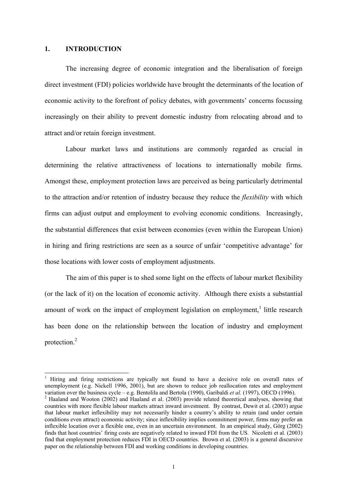#### **1. INTRODUCTION**

 $\overline{a}$ 

The increasing degree of economic integration and the liberalisation of foreign direct investment (FDI) policies worldwide have brought the determinants of the location of economic activity to the forefront of policy debates, with governments' concerns focussing increasingly on their ability to prevent domestic industry from relocating abroad and to attract and/or retain foreign investment.

Labour market laws and institutions are commonly regarded as crucial in determining the relative attractiveness of locations to internationally mobile firms. Amongst these, employment protection laws are perceived as being particularly detrimental to the attraction and/or retention of industry because they reduce the *flexibility* with which firms can adjust output and employment to evolving economic conditions. Increasingly, the substantial differences that exist between economies (even within the European Union) in hiring and firing restrictions are seen as a source of unfair 'competitive advantage' for those locations with lower costs of employment adjustments.

The aim of this paper is to shed some light on the effects of labour market flexibility (or the lack of it) on the location of economic activity. Although there exists a substantial amount of work on the impact of employment legislation on employment,<sup>[1](#page-3-0)</sup> little research has been done on the relationship between the location of industry and employment protection[.2](#page-3-1)

<span id="page-3-0"></span><sup>1</sup> Hiring and firing restrictions are typically not found to have a decisive role on overall rates of unemployment (e.g. Nickell 1996, 2001), but are shown to reduce job reallocation rates and employment variation over the business cycle – e.g. Bentolila and Bertola (1990), Garibaldi *et al.* (1997), OECD (1996).<br><sup>2</sup> Haaland and Wooton (2002) and Haaland et al. (2003) provide related theoretical analyses, showing that

<span id="page-3-1"></span>countries with more flexible labour markets attract inward investment. By contrast, Dewit et al. (2003) argue that labour market inflexibility may not necessarily hinder a country's ability to retain (and under certain conditions even attract) economic activity; since inflexibility implies commitment power, firms may prefer an inflexible location over a flexible one, even in an uncertain environment. In an empirical study, Görg (2002) finds that host countries' firing costs are negatively related to inward FDI from the US. Nicoletti et al. (2003) find that employment protection reduces FDI in OECD countries. Brown et al. (2003) is a general discursive paper on the relationship between FDI and working conditions in developing countries.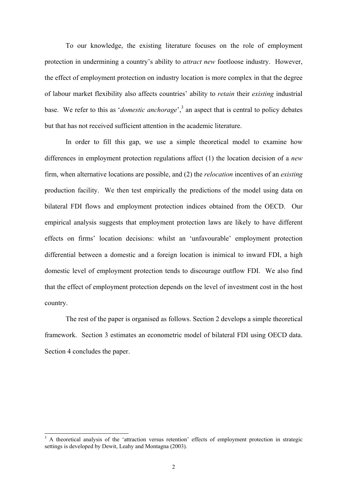To our knowledge, the existing literature focuses on the role of employment protection in undermining a country's ability to *attract new* footloose industry. However, the effect of employment protection on industry location is more complex in that the degree of labour market flexibility also affects countries' ability to *retain* their *existing* industrial base. We refer to this as '*domestic anchorage*',<sup>[3](#page-4-0)</sup> an aspect that is central to policy debates but that has not received sufficient attention in the academic literature.

In order to fill this gap, we use a simple theoretical model to examine how differences in employment protection regulations affect (1) the location decision of a *new* firm, when alternative locations are possible, and (2) the *relocation* incentives of an *existing* production facility. We then test empirically the predictions of the model using data on bilateral FDI flows and employment protection indices obtained from the OECD. Our empirical analysis suggests that employment protection laws are likely to have different effects on firms' location decisions: whilst an 'unfavourable' employment protection differential between a domestic and a foreign location is inimical to inward FDI, a high domestic level of employment protection tends to discourage outflow FDI. We also find that the effect of employment protection depends on the level of investment cost in the host country.

The rest of the paper is organised as follows. Section 2 develops a simple theoretical framework. Section 3 estimates an econometric model of bilateral FDI using OECD data. Section 4 concludes the paper.

<span id="page-4-0"></span><sup>&</sup>lt;sup>3</sup> A theoretical analysis of the 'attraction versus retention' effects of employment protection in strategic settings is developed by Dewit, Leahy and Montagna (2003).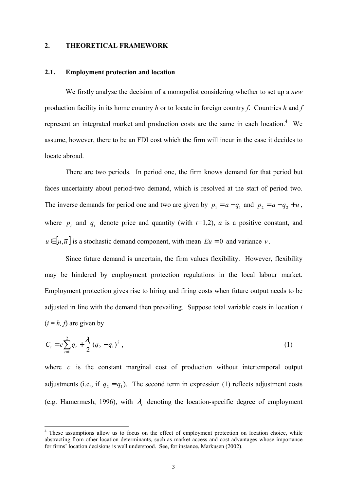#### **2. THEORETICAL FRAMEWORK**

#### **2.1. Employment protection and location**

We firstly analyse the decision of a monopolist considering whether to set up a *new* production facility in its home country *h* or to locate in foreign country *f*. Countries *h* and *f* represent an integrated market and production costs are the same in each location. $4$  We assume, however, there to be an FDI cost which the firm will incur in the case it decides to locate abroad.

There are two periods. In period one, the firm knows demand for that period but faces uncertainty about period-two demand, which is resolved at the start of period two. The inverse demands for period one and two are given by  $p_1 = a - q_1$  and  $p_2 = a - q_2 + u$ , where  $p_t$  and  $q_t$  denote price and quantity (with  $t=1,2$ ),  $a$  is a positive constant, and  $u \in [ u, \overline{u} ]$  is a stochastic demand component, with mean  $Eu = 0$  and variance *v*.

Since future demand is uncertain, the firm values flexibility. However, flexibility may be hindered by employment protection regulations in the local labour market. Employment protection gives rise to hiring and firing costs when future output needs to be adjusted in line with the demand then prevailing. Suppose total variable costs in location *i*  $(i = h, f)$  are given by

$$
C_i = c \sum_{t=1}^{2} q_t + \frac{\lambda_i}{2} (q_2 - q_1)^2 , \qquad (1)
$$

where *c* is the constant marginal cost of production without intertemporal output adjustments (i.e., if  $q_2 = q_1$ ). The second term in expression (1) reflects adjustment costs (e.g. Hamermesh, 1996), with  $\lambda_i$  denoting the location-specific degree of employment

<span id="page-5-0"></span><sup>&</sup>lt;sup>4</sup> These assumptions allow us to focus on the effect of employment protection on location choice, while abstracting from other location determinants, such as market access and cost advantages whose importance for firms' location decisions is well understood. See, for instance, Markusen (2002).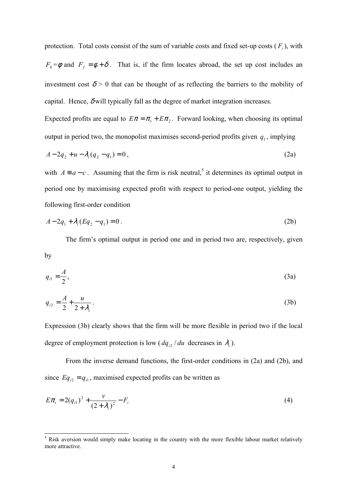protection. Total costs consist of the sum of variable costs and fixed set-up costs  $(F_i)$ , with  $F_h = \phi$  and  $F_f = \phi + \delta$ . That is, if the firm locates abroad, the set up cost includes an investment cost  $\delta$  > 0 that can be thought of as reflecting the barriers to the mobility of capital. Hence,  $\delta$  will typically fall as the degree of market integration increases.

Expected profits are equal to  $E\pi = \pi_1 + E\pi_2$ . Forward looking, when choosing its optimal output in period two, the monopolist maximises second-period profits given  $q_1$ , implying

$$
A - 2q_2 + u - \lambda_i (q_2 - q_1) = 0,
$$
\n(2a)

with  $A = a - c$ . Assuming that the firm is risk neutral,<sup>[5](#page-6-0)</sup> it determines its optimal output in period one by maximising expected profit with respect to period-one output, yielding the following first-order condition

$$
A - 2q_1 + \lambda_i (Eq_2 - q_1) = 0.
$$
 (2b)

The firm's optimal output in period one and in period two are, respectively, given by

$$
q_{i1} = \frac{A}{2},\tag{3a}
$$

$$
q_{i2} = \frac{A}{2} + \frac{u}{2 + \lambda_i} \,. \tag{3b}
$$

Expression (3b) clearly shows that the firm will be more flexible in period two if the local degree of employment protection is low ( $dq_{i2}$  / *du* decreases in  $\lambda_i$ ).

From the inverse demand functions, the first-order conditions in (2a) and (2b), and since  $Eq_{i2} = q_{i1}$ , maximised expected profits can be written as

$$
E\pi_i = 2(q_{i1})^2 + \frac{\nu}{(2+\lambda_i)^2} - F_i
$$
\n(4)

<span id="page-6-0"></span><sup>&</sup>lt;sup>5</sup> Risk aversion would simply make locating in the country with the more flexible labour market relatively more attractive.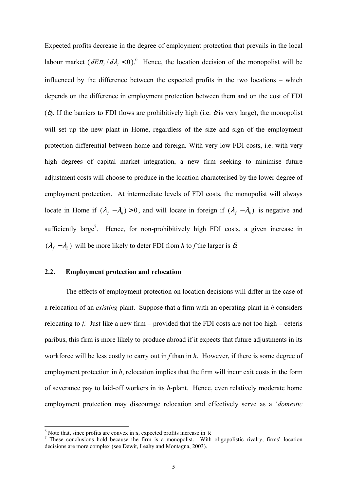Expected profits decrease in the degree of employment protection that prevails in the local labour market  $(dE\pi_i/d\lambda_i < 0)$ .<sup>[6](#page-7-0)</sup> Hence, the location decision of the monopolist will be influenced by the difference between the expected profits in the two locations – which depends on the difference in employment protection between them and on the cost of FDI (δ). If the barriers to FDI flows are prohibitively high (i.e.  $\delta$  is very large), the monopolist will set up the new plant in Home, regardless of the size and sign of the employment protection differential between home and foreign. With very low FDI costs, i.e. with very high degrees of capital market integration, a new firm seeking to minimise future adjustment costs will choose to produce in the location characterised by the lower degree of employment protection. At intermediate levels of FDI costs, the monopolist will always locate in Home if  $(\lambda_f - \lambda_h) > 0$ , and will locate in foreign if  $(\lambda_f - \lambda_h)$  is negative and sufficiently large<sup>7</sup>. Hence, for non-prohibitively high FDI costs, a given increase in  $(\lambda_f - \lambda_h)$  will be more likely to deter FDI from *h* to *f* the larger is  $\delta$ .

#### **2.2. Employment protection and relocation**

The effects of employment protection on location decisions will differ in the case of a relocation of an *existing* plant. Suppose that a firm with an operating plant in *h* considers relocating to *f*. Just like a new firm – provided that the FDI costs are not too high – ceteris paribus, this firm is more likely to produce abroad if it expects that future adjustments in its workforce will be less costly to carry out in *f* than in *h*. However, if there is some degree of employment protection in *h*, relocation implies that the firm will incur exit costs in the form of severance pay to laid-off workers in its *h*-plant. Hence, even relatively moderate home employment protection may discourage relocation and effectively serve as a '*domestic*

<span id="page-7-1"></span>

<span id="page-7-0"></span><sup>&</sup>lt;sup>6</sup> Note that, since profits are convex in *u*, expected profits increase in *v*.<br><sup>7</sup> These conclusions hold because the firm is a monopolist. With oligopolistic rivalry, firms' location decisions are more complex (see Dewit, Leahy and Montagna, 2003).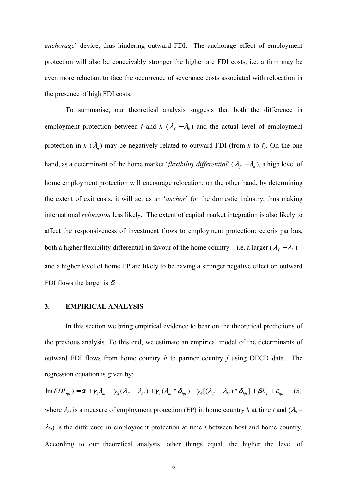*anchorage*' device, thus hindering outward FDI. The anchorage effect of employment protection will also be conceivably stronger the higher are FDI costs, i.e. a firm may be even more reluctant to face the occurrence of severance costs associated with relocation in the presence of high FDI costs.

To summarise, our theoretical analysis suggests that both the difference in employment protection between *f* and *h* ( $\lambda_f - \lambda_h$ ) and the actual level of employment protection in  $h(\lambda_h)$  may be negatively related to outward FDI (from *h* to *f*). On the one hand, as a determinant of the home market '*flexibility differential*' ( $\lambda_f - \lambda_h$ ), a high level of home employment protection will encourage relocation; on the other hand, by determining the extent of exit costs, it will act as an '*anchor*' for the domestic industry, thus making international *relocation* less likely. The extent of capital market integration is also likely to affect the responsiveness of investment flows to employment protection: ceteris paribus, both a higher flexibility differential in favour of the home country – i.e. a larger  $(\lambda_f - \lambda_h)$  – and a higher level of home EP are likely to be having a stronger negative effect on outward FDI flows the larger is  $\delta$ .

#### **3. EMPIRICAL ANALYSIS**

In this section we bring empirical evidence to bear on the theoretical predictions of the previous analysis. To this end, we estimate an empirical model of the determinants of outward FDI flows from home country *h* to partner country *f* using OECD data. The regression equation is given by:

$$
\ln(FDI_{hft}) = \alpha + \gamma_1 \lambda_{ht} + \gamma_2 (\lambda_{ft} - \lambda_{ht}) + \gamma_3 (\lambda_{ht} * \delta_{hft}) + \gamma_4 [(\lambda_{ft} - \lambda_{ht}) * \delta_{hft}] + \beta X_t + \varepsilon_{hft}
$$
 (5)

where  $\lambda_{ht}$  is a measure of employment protection (EP) in home country *h* at time *t* and  $(\lambda_{ft} - \lambda_{fit})$ λ*ht*) is the difference in employment protection at time *t* between host and home country. According to our theoretical analysis, other things equal, the higher the level of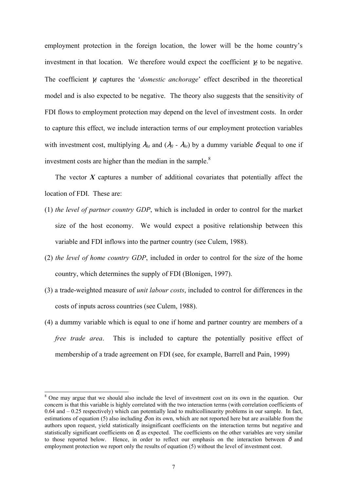employment protection in the foreign location, the lower will be the home country's investment in that location. We therefore would expect the coefficient  $\gamma_2$  to be negative. The coefficient γ*1* captures the '*domestic anchorage*' effect described in the theoretical model and is also expected to be negative. The theory also suggests that the sensitivity of FDI flows to employment protection may depend on the level of investment costs. In order to capture this effect, we include interaction terms of our employment protection variables with investment cost, multiplying  $\lambda_{ht}$  and  $(\lambda_{ft} - \lambda_{ht})$  by a dummy variable  $\delta$  equal to one if investment costs are higher than the median in the sample.<sup>8</sup>

The vector  $X$  captures a number of additional covariates that potentially affect the location of FDI. These are:

- (1) *the level of partner country GDP*, which is included in order to control for the market size of the host economy. We would expect a positive relationship between this variable and FDI inflows into the partner country (see Culem, 1988).
- (2) *the level of home country GDP*, included in order to control for the size of the home country, which determines the supply of FDI (Blonigen, 1997).
- (3) a trade-weighted measure of *unit labour costs*, included to control for differences in the costs of inputs across countries (see Culem, 1988).
- (4) a dummy variable which is equal to one if home and partner country are members of a *free trade area*. This is included to capture the potentially positive effect of membership of a trade agreement on FDI (see, for example, Barrell and Pain, 1999)

<span id="page-9-0"></span><sup>&</sup>lt;sup>8</sup> One may argue that we should also include the level of investment cost on its own in the equation. Our concern is that this variable is highly correlated with the two interaction terms (with correlation coefficients of 0.64 and – 0.25 respectively) which can potentially lead to multicollinearity problems in our sample. In fact, estimations of equation (5) also including  $\delta$  on its own, which are not reported here but are available from the authors upon request, yield statistically insignificant coefficients on the interaction terms but negative and statistically significant coefficients on  $\delta$ , as expected. The coefficients on the other variables are very similar to those reported below. Hence, in order to reflect our emphasis on the interaction between  $\delta$  and employment protection we report only the results of equation (5) without the level of investment cost.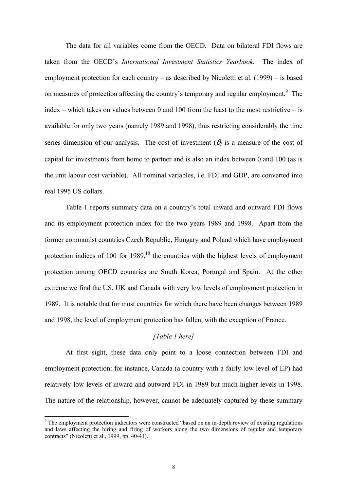The data for all variables come from the OECD. Data on bilateral FDI flows are taken from the OECD's *International Investment Statistics Yearbook*. The index of employment protection for each country – as described by Nicoletti et al. (1999) – is based on measures of protection affecting the country's temporary and regular employment.<sup>[9](#page-10-0)</sup> The index – which takes on values between 0 and 100 from the least to the most restrictive – is available for only two years (namely 1989 and 1998), thus restricting considerably the time series dimension of our analysis. The cost of investment  $(\delta)$  is a measure of the cost of capital for investments from home to partner and is also an index between 0 and 100 (as is the unit labour cost variable). All nominal variables, i.e. FDI and GDP, are converted into real 1995 US dollars.

Table 1 reports summary data on a country's total inward and outward FDI flows and its employment protection index for the two years 1989 and 1998. Apart from the former communist countries Czech Republic, Hungary and Poland which have employment protection indices of 100 for  $1989$ ,<sup>10</sup> the countries with the highest levels of employment protection among OECD countries are South Korea, Portugal and Spain. At the other extreme we find the US, UK and Canada with very low levels of employment protection in 1989. It is notable that for most countries for which there have been changes between 1989 and 1998, the level of employment protection has fallen, with the exception of France.

#### *[Table 1 here]*

At first sight, these data only point to a loose connection between FDI and employment protection: for instance, Canada (a country with a fairly low level of EP) had relatively low levels of inward and outward FDI in 1989 but much higher levels in 1998. The nature of the relationship, however, cannot be adequately captured by these summary

<span id="page-10-1"></span><span id="page-10-0"></span><sup>&</sup>lt;sup>9</sup> The employment protection indicators were constructed "based on an in-depth review of existing regulations and laws affecting the hiring and firing of workers along the two dimensions of regular and temporary contracts" (Nicoletti et al., 1999, pp. 40-41).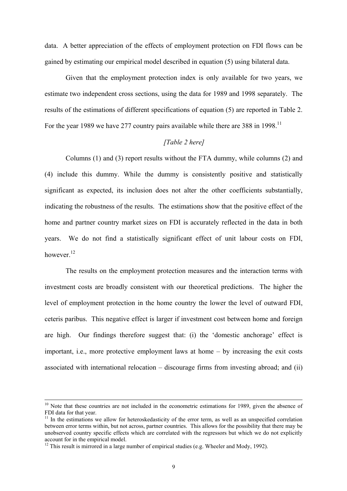data. A better appreciation of the effects of employment protection on FDI flows can be gained by estimating our empirical model described in equation (5) using bilateral data.

Given that the employment protection index is only available for two years, we estimate two independent cross sections, using the data for 1989 and 1998 separately. The results of the estimations of different specifications of equation (5) are reported in Table 2. For the year 1989 we have 277 country pairs available while there are 388 in 1998.<sup>11</sup>

#### *[Table 2 here]*

Columns (1) and (3) report results without the FTA dummy, while columns (2) and (4) include this dummy. While the dummy is consistently positive and statistically significant as expected, its inclusion does not alter the other coefficients substantially, indicating the robustness of the results. The estimations show that the positive effect of the home and partner country market sizes on FDI is accurately reflected in the data in both years. We do not find a statistically significant effect of unit labour costs on FDI, however.<sup>12</sup>

The results on the employment protection measures and the interaction terms with investment costs are broadly consistent with our theoretical predictions. The higher the level of employment protection in the home country the lower the level of outward FDI, ceteris paribus. This negative effect is larger if investment cost between home and foreign are high. Our findings therefore suggest that: (i) the 'domestic anchorage' effect is important, i.e., more protective employment laws at home – by increasing the exit costs associated with international relocation – discourage firms from investing abroad; and (ii)

<sup>&</sup>lt;sup>10</sup> Note that these countries are not included in the econometric estimations for 1989, given the absence of FDI data for that year.

<span id="page-11-0"></span> $11$  In the estimations we allow for heteroskedasticity of the error term, as well as an unspecified correlation between error terms within, but not across, partner countries. This allows for the possibility that there may be unobserved country specific effects which are correlated with the regressors but which we do not explicitly account for in the empirical model.

<span id="page-11-1"></span> $12$  This result is mirrored in a large number of empirical studies (e.g. Wheeler and Mody, 1992).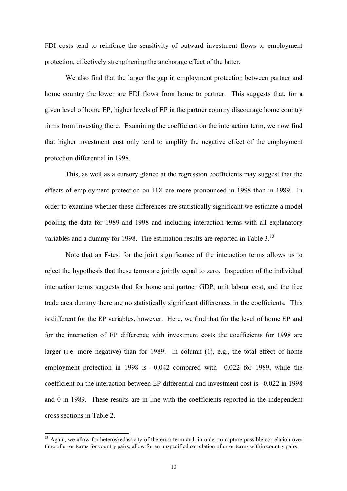FDI costs tend to reinforce the sensitivity of outward investment flows to employment protection, effectively strengthening the anchorage effect of the latter.

We also find that the larger the gap in employment protection between partner and home country the lower are FDI flows from home to partner. This suggests that, for a given level of home EP, higher levels of EP in the partner country discourage home country firms from investing there. Examining the coefficient on the interaction term, we now find that higher investment cost only tend to amplify the negative effect of the employment protection differential in 1998.

This, as well as a cursory glance at the regression coefficients may suggest that the effects of employment protection on FDI are more pronounced in 1998 than in 1989. In order to examine whether these differences are statistically significant we estimate a model pooling the data for 1989 and 1998 and including interaction terms with all explanatory variables and a dummy for 1998. The estimation results are reported in Table 3.<sup>[13](#page-12-0)</sup>

Note that an F-test for the joint significance of the interaction terms allows us to reject the hypothesis that these terms are jointly equal to zero. Inspection of the individual interaction terms suggests that for home and partner GDP, unit labour cost, and the free trade area dummy there are no statistically significant differences in the coefficients. This is different for the EP variables, however. Here, we find that for the level of home EP and for the interaction of EP difference with investment costs the coefficients for 1998 are larger (i.e. more negative) than for 1989. In column (1), e.g., the total effect of home employment protection in 1998 is  $-0.042$  compared with  $-0.022$  for 1989, while the coefficient on the interaction between EP differential and investment cost is –0.022 in 1998 and 0 in 1989. These results are in line with the coefficients reported in the independent cross sections in Table 2.

<span id="page-12-0"></span><sup>&</sup>lt;sup>13</sup> Again, we allow for heteroskedasticity of the error term and, in order to capture possible correlation over time of error terms for country pairs, allow for an unspecified correlation of error terms within country pairs.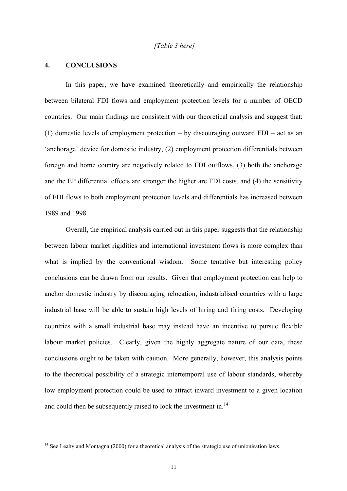#### *[Table 3 here]*

#### **4. CONCLUSIONS**

 $\overline{a}$ 

In this paper, we have examined theoretically and empirically the relationship between bilateral FDI flows and employment protection levels for a number of OECD countries. Our main findings are consistent with our theoretical analysis and suggest that: (1) domestic levels of employment protection – by discouraging outward FDI – act as an 'anchorage' device for domestic industry, (2) employment protection differentials between foreign and home country are negatively related to FDI outflows, (3) both the anchorage and the EP differential effects are stronger the higher are FDI costs, and (4) the sensitivity of FDI flows to both employment protection levels and differentials has increased between 1989 and 1998.

Overall, the empirical analysis carried out in this paper suggests that the relationship between labour market rigidities and international investment flows is more complex than what is implied by the conventional wisdom. Some tentative but interesting policy conclusions can be drawn from our results. Given that employment protection can help to anchor domestic industry by discouraging relocation, industrialised countries with a large industrial base will be able to sustain high levels of hiring and firing costs. Developing countries with a small industrial base may instead have an incentive to pursue flexible labour market policies. Clearly, given the highly aggregate nature of our data, these conclusions ought to be taken with caution. More generally, however, this analysis points to the theoretical possibility of a strategic intertemporal use of labour standards, whereby low employment protection could be used to attract inward investment to a given location and could then be subsequently raised to lock the investment in.<sup>14</sup>

<span id="page-13-0"></span><sup>&</sup>lt;sup>14</sup> See Leahy and Montagna (2000) for a theoretical analysis of the strategic use of unionisation laws.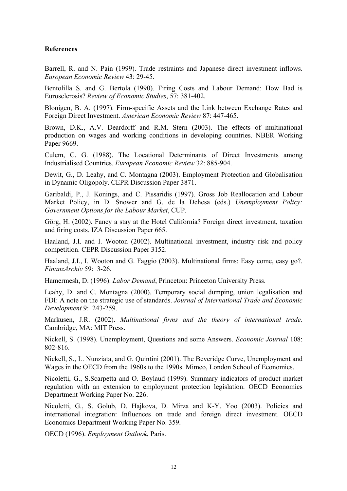#### **References**

Barrell, R. and N. Pain (1999). Trade restraints and Japanese direct investment inflows. *European Economic Review* 43: 29-45.

Bentolilla S. and G. Bertola (1990). Firing Costs and Labour Demand: How Bad is Eurosclerosis? *Review of Economic Studies*, 57: 381-402.

Blonigen, B. A. (1997). Firm-specific Assets and the Link between Exchange Rates and Foreign Direct Investment. *American Economic Review* 87: 447-465.

Brown, D.K., A.V. Deardorff and R.M. Stern (2003). The effects of multinational production on wages and working conditions in developing countries. NBER Working Paper 9669.

Culem, C. G. (1988). The Locational Determinants of Direct Investments among Industrialised Countries. *European Economic Review* 32: 885-904.

Dewit, G., D. Leahy, and C. Montagna (2003). Employment Protection and Globalisation in Dynamic Oligopoly. CEPR Discussion Paper 3871.

Garibaldi, P., J. Konings, and C. Pissaridis (1997). Gross Job Reallocation and Labour Market Policy, in D. Snower and G. de la Dehesa (eds.) *Unemployment Policy: Government Options for the Labour Market*, CUP.

Görg, H. (2002). Fancy a stay at the Hotel California? Foreign direct investment, taxation and firing costs. IZA Discussion Paper 665.

Haaland, J.I. and I. Wooton (2002). Multinational investment, industry risk and policy competition. CEPR Discussion Paper 3152.

Haaland, J.I., I. Wooton and G. Faggio (2003). Multinational firms: Easy come, easy go?. *FinanzArchiv* 59: 3-26.

Hamermesh, D. (1996). *Labor Demand*, Princeton: Princeton University Press.

Leahy, D. and C. Montagna (2000). Temporary social dumping, union legalisation and FDI: A note on the strategic use of standards. *Journal of International Trade and Economic Development* 9: 243-259.

Markusen, J.R. (2002). *Multinational firms and the theory of international trade*. Cambridge, MA: MIT Press.

Nickell, S. (1998). Unemployment, Questions and some Answers. *Economic Journal* 108: 802-816.

Nickell, S., L. Nunziata, and G. Quintini (2001). The Beveridge Curve, Unemployment and Wages in the OECD from the 1960s to the 1990s. Mimeo, London School of Economics.

Nicoletti, G., S.Scarpetta and O. Boylaud (1999). Summary indicators of product market regulation with an extension to employment protection legislation. OECD Economics Department Working Paper No. 226.

Nicoletti, G., S. Golub, D. Hajkova, D. Mirza and K-Y. Yoo (2003). Policies and international integration: Influences on trade and foreign direct investment. OECD Economics Department Working Paper No. 359.

OECD (1996). *Employment Outlook*, Paris.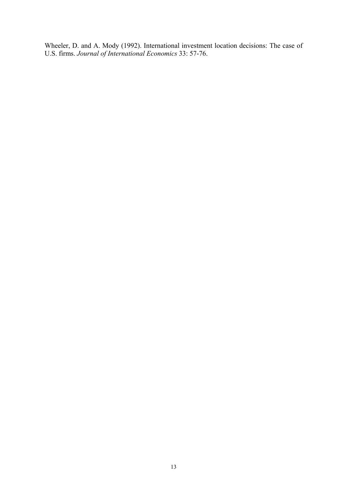Wheeler, D. and A. Mody (1992). International investment location decisions: The case of U.S. firms. *Journal of International Economics* 33: 57-76.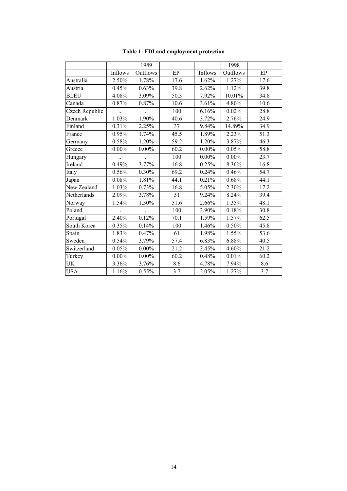|                |          | 1989     |      |          | 1998     |      |
|----------------|----------|----------|------|----------|----------|------|
|                | Inflows  | Outflows | EP   | Inflows  | Outflows | EP   |
| Australia      | 2.50%    | 1.78%    | 17.6 | 1.62%    | 1.27%    | 17.6 |
| Austria        | 0.45%    | 0.63%    | 39.8 | 2.62%    | 1.12%    | 39.8 |
| BLEU           | 4.08%    | 3.09%    | 50.3 | 7.92%    | 10.01%   | 34.8 |
| Canada         | 0.87%    | 0.87%    | 10.6 | 3.61%    | 4.80%    | 10.6 |
| Czech Republic |          |          | 100  | 6.16%    | 0.02%    | 28.8 |
| Denmark        | 1.03%    | 1.90%    | 40.6 | 3.72%    | 2.76%    | 24.9 |
| Finland        | 0.31%    | 2.25%    | 37   | 9.84%    | 14.89%   | 34.9 |
| France         | 0.95%    | 1.74%    | 45.5 | 1.89%    | 2.23%    | 51.3 |
| Germany        | 0.58%    | 1.20%    | 59.2 | 1.20%    | 3.87%    | 46.3 |
| Greece         | $0.00\%$ | $0.00\%$ | 60.2 | $0.00\%$ | 0.05%    | 58.8 |
| Hungary        |          |          | 100  | $0.00\%$ | $0.00\%$ | 23.7 |
| Ireland        | 0.49%    | 3.77%    | 16.8 | 0.25%    | 8.36%    | 16.8 |
| Italy          | 0.56%    | 0.30%    | 69.2 | 0.24%    | 0.46%    | 54.7 |
| Japan          | 0.08%    | 1.81%    | 44.1 | 0.21%    | 0.68%    | 44.1 |
| New Zealand    | 1.03%    | 0.73%    | 16.8 | 5.05%    | 2.30%    | 17.2 |
| Netherlands    | 2.09%    | 3.78%    | 51   | 9.24%    | 8.24%    | 39.4 |
| Norway         | 1.54%    | 1.30%    | 51.6 | 2.66%    | 1.35%    | 48.1 |
| Poland         |          |          | 100  | 3.90%    | 0.18%    | 30.8 |
| Portugal       | 2.40%    | 0.12%    | 70.1 | 1.59%    | 1.57%    | 62.5 |
| South Korea    | 0.35%    | 0.14%    | 100  | 1.46%    | 0.50%    | 45.8 |
| Spain          | 1.83%    | 0.47%    | 61   | 1.98%    | 1.55%    | 53.6 |
| Sweden         | 0.54%    | 3.79%    | 57.4 | 6.83%    | 6.88%    | 40.5 |
| Switzerland    | 0.05%    | $0.00\%$ | 21.2 | 3.45%    | 4.60%    | 21.2 |
| Turkey         | $0.00\%$ | $0.00\%$ | 60.2 | 0.48%    | 0.01%    | 60.2 |
| UK             | 3.36%    | 3.76%    | 8.6  | 4.78%    | 7.94%    | 8.6  |
| <b>USA</b>     | 1.16%    | $0.55\%$ | 3.7  | 2.05%    | 1.27%    | 3.7  |

#### **Table 1: FDI and employment protection**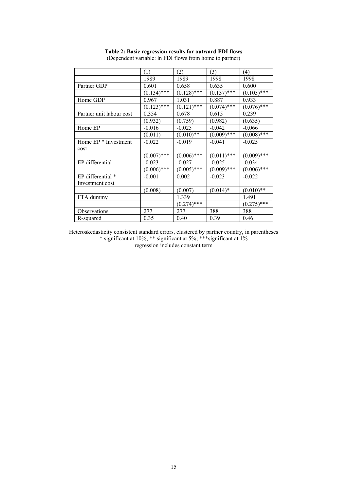|                          | (1)           | (2)           | (3)           | (4)           |
|--------------------------|---------------|---------------|---------------|---------------|
|                          | 1989          | 1989          | 1998          | 1998          |
| Partner GDP              | 0.601         | 0.658         | 0.635         | 0.600         |
|                          | $(0.134)$ *** | $(0.128)$ *** | $(0.137)$ *** | $(0.103)$ *** |
| Home GDP                 | 0.967         | 1.031         | 0.887         | 0.933         |
|                          | $(0.123)$ *** | $(0.121)$ *** | $(0.074)$ *** | $(0.076)$ *** |
| Partner unit labour cost | 0.354         | 0.678         | 0.615         | 0.239         |
|                          | (0.932)       | (0.759)       | (0.982)       | (0.635)       |
| Home EP                  | $-0.016$      | $-0.025$      | $-0.042$      | $-0.066$      |
|                          | (0.011)       | $(0.010)$ **  | $(0.009)$ *** | $(0.008)$ *** |
| Home EP * Investment     | $-0.022$      | $-0.019$      | $-0.041$      | $-0.025$      |
| cost                     |               |               |               |               |
|                          | $(0.007)$ *** | $(0.006)$ *** | $(0.011)$ *** | $(0.009)$ *** |
| EP differential          | $-0.023$      | $-0.027$      | $-0.025$      | $-0.034$      |
|                          | $(0.006)$ *** | $(0.005)$ *** | $(0.009)$ *** | $(0.006)$ *** |
| EP differential *        | $-0.001$      | 0.002         | $-0.023$      | $-0.022$      |
| Investment cost          |               |               |               |               |
|                          | (0.008)       | (0.007)       | $(0.014)*$    | $(0.010)$ **  |
| FTA dummy                |               | 1.339         |               | 1.491         |
|                          |               | $(0.274)$ *** |               | $(0.275)$ *** |
| <b>Observations</b>      | 277           | 277           | 388           | 388           |
| R-squared                | 0.35          | 0.40          | 0.39          | 0.46          |

**Table 2: Basic regression results for outward FDI flows** (Dependent variable: ln FDI flows from home to partner)

Heteroskedasticity consistent standard errors, clustered by partner country, in parentheses \* significant at 10%; \*\* significant at 5%; \*\*\*significant at 1% regression includes constant term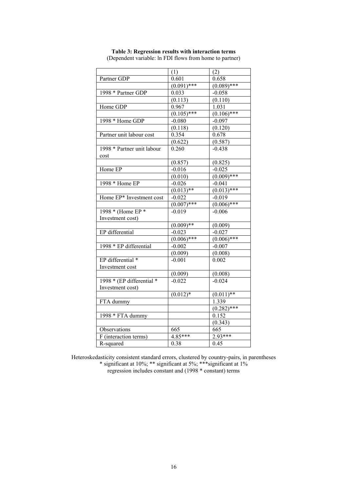|                            | (1)           | (2)           |
|----------------------------|---------------|---------------|
| Partner GDP                | 0.601         | 0.658         |
|                            | $(0.091)$ *** | $(0.089)$ *** |
| 1998 * Partner GDP         | 0.033         | $-0.058$      |
|                            | (0.113)       | (0.110)       |
| Home GDP                   | 0.967         | 1.031         |
|                            | $(0.105)$ *** | $(0.106)$ *** |
| 1998 * Home GDP            | $-0.080$      | $-0.097$      |
|                            | (0.118)       | (0.120)       |
| Partner unit labour cost   | 0.354         | 0.678         |
|                            | (0.622)       | (0.587)       |
| 1998 * Partner unit labour | 0.260         | $-0.438$      |
| cost                       |               |               |
|                            | (0.857)       | (0.825)       |
| Home EP                    | $-0.016$      | $-0.025$      |
|                            | (0.010)       | $(0.009)$ *** |
| 1998 * Home EP             | $-0.026$      | $-0.041$      |
|                            | $(0.013)$ **  | $(0.013)$ *** |
| Home EP* Investment cost   | $-0.022$      | $-0.019$      |
|                            | $(0.007)$ *** | $(0.006)$ *** |
| 1998 * (Home EP *          | $-0.019$      | $-0.006$      |
| Investment cost)           |               |               |
|                            | $(0.009)**$   | (0.009)       |
| EP differential            | $-0.023$      | $-0.027$      |
|                            | $(0.006)$ *** | $(0.006)$ *** |
| 1998 * EP differential     | $-0.002$      | $-0.007$      |
|                            | (0.009)       | (0.008)       |
| EP differential *          | $-0.001$      | 0.002         |
| Investment cost            |               |               |
|                            | (0.009)       | (0.008)       |
| 1998 * (EP differential *  | $-0.022$      | $-0.024$      |
| Investment cost)           |               |               |
|                            | $(0.012)*$    | $(0.011)$ **  |
| FTA dummy                  |               | 1.339         |
|                            |               | $(0.282)$ *** |
| 1998 * FTA dummy           |               | 0.152         |
|                            |               | (0.343)       |
| Observations               | 665           | 665           |
| F (interaction terms)      | $4.85***$     | $2.93***$     |
| R-squared                  | 0.38          | 0.45          |

**Table 3: Regression results with interaction terms** (Dependent variable: ln FDI flows from home to partner)

Heteroskedasticity consistent standard errors, clustered by country-pairs, in parentheses

\* significant at 10%; \*\* significant at 5%; \*\*\*significant at 1% regression includes constant and (1998 \* constant) terms